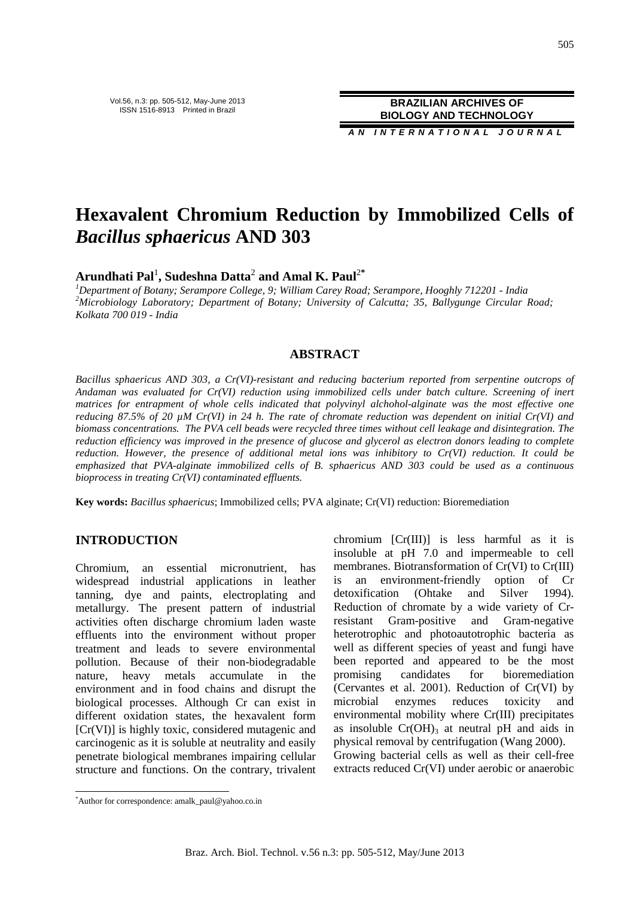Vol.56, n.3: pp. 505-512, May-June 2013 ISSN 1516-8913 Printed in Brazil

**BRAZILIAN ARCHIVES OF BIOLOGY AND TECHNOLOGY**

**A N I N T E R N A T I O N A L J O U R N A L**

# **Hexavalent Chromium Reduction by Immobilized Cells of**  *Bacillus sphaericus* **AND 303**

**Arundhati Pal**<sup>1</sup> **, Sudeshna Datta**<sup>2</sup>  **and Amal K. Paul**<sup>2</sup>**\***

*<sup>1</sup>Department of Botany; Serampore College, 9; William Carey Road; Serampore, Hooghly 712201 - India <sup>2</sup>Microbiology Laboratory; Department of Botany; University of Calcutta; 35, Ballygunge Circular Road; Kolkata 700 019 - India* 

## **ABSTRACT**

*Bacillus sphaericus AND 303, a Cr(VI)-resistant and reducing bacterium reported from serpentine outcrops of Andaman was evaluated for Cr(VI) reduction using immobilized cells under batch culture. Screening of inert matrices for entrapment of whole cells indicated that polyvinyl alchohol-alginate was the most effective one reducing 87.5% of 20 µM Cr(VI) in 24 h. The rate of chromate reduction was dependent on initial Cr(VI) and biomass concentrations. The PVA cell beads were recycled three times without cell leakage and disintegration. The reduction efficiency was improved in the presence of glucose and glycerol as electron donors leading to complete reduction. However, the presence of additional metal ions was inhibitory to Cr(VI) reduction. It could be emphasized that PVA-alginate immobilized cells of B. sphaericus AND 303 could be used as a continuous bioprocess in treating Cr(VI) contaminated effluents.* 

**Key words:** *Bacillus sphaericus*; Immobilized cells; PVA alginate; Cr(VI) reduction: Bioremediation

## **INTRODUCTION**

Chromium, an essential micronutrient, has widespread industrial applications in leather tanning, dye and paints, electroplating and metallurgy. The present pattern of industrial activities often discharge chromium laden waste effluents into the environment without proper treatment and leads to severe environmental pollution. Because of their non-biodegradable nature, heavy metals accumulate in the environment and in food chains and disrupt the biological processes. Although Cr can exist in different oxidation states, the hexavalent form [Cr(VI)] is highly toxic, considered mutagenic and carcinogenic as it is soluble at neutrality and easily penetrate biological membranes impairing cellular structure and functions. On the contrary, trivalent

chromium [Cr(III)] is less harmful as it is insoluble at pH 7.0 and impermeable to cell membranes. Biotransformation of Cr(VI) to Cr(III) is an environment-friendly option of Cr detoxification (Ohtake and Silver 1994). Reduction of chromate by a wide variety of Crresistant Gram-positive and Gram-negative heterotrophic and photoautotrophic bacteria as well as different species of yeast and fungi have been reported and appeared to be the most promising candidates for bioremediation (Cervantes et al. 2001). Reduction of Cr(VI) by microbial enzymes reduces toxicity and environmental mobility where Cr(III) precipitates as insoluble  $Cr(OH)$ <sub>3</sub> at neutral pH and aids in physical removal by centrifugation (Wang 2000). Growing bacterial cells as well as their cell-free extracts reduced Cr(VI) under aerobic or anaerobic

 $\overline{a}$ 

<sup>\*</sup>Author for correspondence: amalk\_paul@yahoo.co.in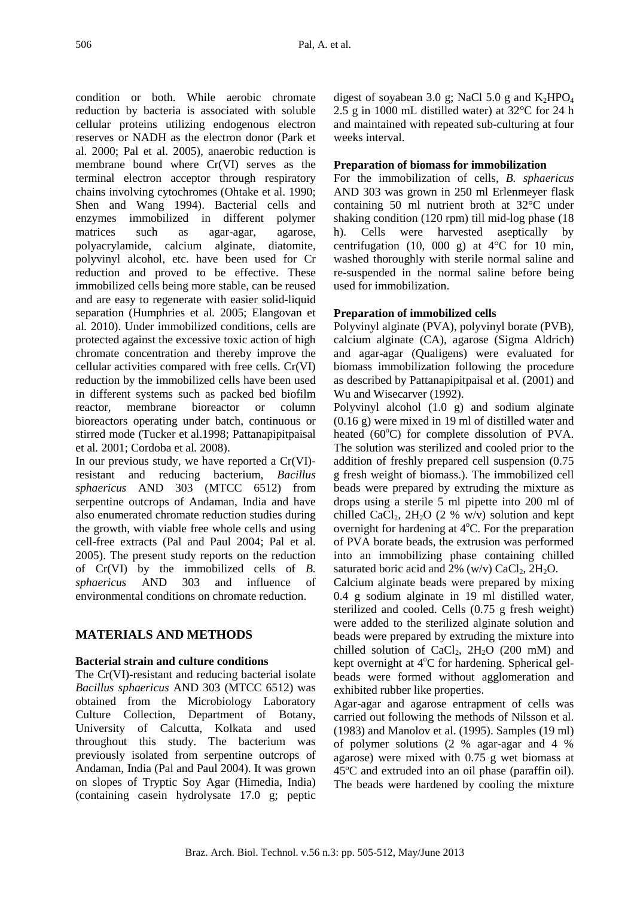condition or both. While aerobic chromate reduction by bacteria is associated with soluble cellular proteins utilizing endogenous electron reserves or NADH as the electron donor (Park et al. 2000; Pal et al. 2005), anaerobic reduction is membrane bound where Cr(VI) serves as the terminal electron acceptor through respiratory chains involving cytochromes (Ohtake et al. 1990; Shen and Wang 1994). Bacterial cells and enzymes immobilized in different polymer matrices such as agar-agar, agarose, polyacrylamide, calcium alginate, diatomite, polyvinyl alcohol, etc. have been used for Cr reduction and proved to be effective. These immobilized cells being more stable, can be reused and are easy to regenerate with easier solid-liquid separation (Humphries et al*.* 2005; Elangovan et al*.* 2010). Under immobilized conditions, cells are protected against the excessive toxic action of high chromate concentration and thereby improve the cellular activities compared with free cells. Cr(VI) reduction by the immobilized cells have been used in different systems such as packed bed biofilm reactor, membrane bioreactor or column bioreactors operating under batch, continuous or stirred mode (Tucker et al.1998; Pattanapipitpaisal et al*.* 2001; Cordoba et al*.* 2008).

In our previous study, we have reported a Cr(VI) resistant and reducing bacterium, *Bacillus sphaericus* AND 303 (MTCC 6512) from serpentine outcrops of Andaman, India and have also enumerated chromate reduction studies during the growth, with viable free whole cells and using cell-free extracts (Pal and Paul 2004; Pal et al. 2005). The present study reports on the reduction of Cr(VI) by the immobilized cells of *B. sphaericus* AND 303 and influence of environmental conditions on chromate reduction.

# **MATERIALS AND METHODS**

## **Bacterial strain and culture conditions**

The Cr(VI)-resistant and reducing bacterial isolate *Bacillus sphaericus* AND 303 (MTCC 6512) was obtained from the Microbiology Laboratory Culture Collection, Department of Botany, University of Calcutta, Kolkata and used throughout this study. The bacterium was previously isolated from serpentine outcrops of Andaman, India (Pal and Paul 2004). It was grown on slopes of Tryptic Soy Agar (Himedia, India) (containing casein hydrolysate 17.0 g; peptic

digest of soyabean 3.0 g; NaCl 5.0 g and  $K_2HPO_4$ 2.5 g in 1000 mL distilled water) at 32°C for 24 h and maintained with repeated sub-culturing at four weeks interval.

## **Preparation of biomass for immobilization**

For the immobilization of cells, *B. sphaericus*  AND 303 was grown in 250 ml Erlenmeyer flask containing 50 ml nutrient broth at 32°C under shaking condition (120 rpm) till mid-log phase (18 h). Cells were harvested aseptically by centrifugation (10, 000 g) at 4°C for 10 min, washed thoroughly with sterile normal saline and re-suspended in the normal saline before being used for immobilization.

# **Preparation of immobilized cells**

Polyvinyl alginate (PVA), polyvinyl borate (PVB), calcium alginate (CA), agarose (Sigma Aldrich) and agar-agar (Qualigens) were evaluated for biomass immobilization following the procedure as described by Pattanapipitpaisal et al. (2001) and Wu and Wisecarver (1992).

Polyvinyl alcohol (1.0 g) and sodium alginate (0.16 g) were mixed in 19 ml of distilled water and heated  $(60^{\circ}C)$  for complete dissolution of PVA. The solution was sterilized and cooled prior to the addition of freshly prepared cell suspension (0.75 g fresh weight of biomass.). The immobilized cell beads were prepared by extruding the mixture as drops using a sterile 5 ml pipette into 200 ml of chilled CaCl<sub>2</sub>, 2H<sub>2</sub>O (2 % w/v) solution and kept overnight for hardening at  $4^{\circ}$ C. For the preparation of PVA borate beads, the extrusion was performed into an immobilizing phase containing chilled saturated boric acid and  $2\%$  (w/v) CaCl<sub>2</sub>, 2H<sub>2</sub>O.

Calcium alginate beads were prepared by mixing 0.4 g sodium alginate in 19 ml distilled water, sterilized and cooled. Cells (0.75 g fresh weight) were added to the sterilized alginate solution and beads were prepared by extruding the mixture into chilled solution of CaCl<sub>2</sub>,  $2H_2O$  (200 mM) and kept overnight at  $4^{\circ}$ C for hardening. Spherical gelbeads were formed without agglomeration and exhibited rubber like properties.

Agar-agar and agarose entrapment of cells was carried out following the methods of Nilsson et al. (1983) and Manolov et al. (1995). Samples (19 ml) of polymer solutions (2 % agar-agar and 4 % agarose) were mixed with 0.75 g wet biomass at 45ºC and extruded into an oil phase (paraffin oil). The beads were hardened by cooling the mixture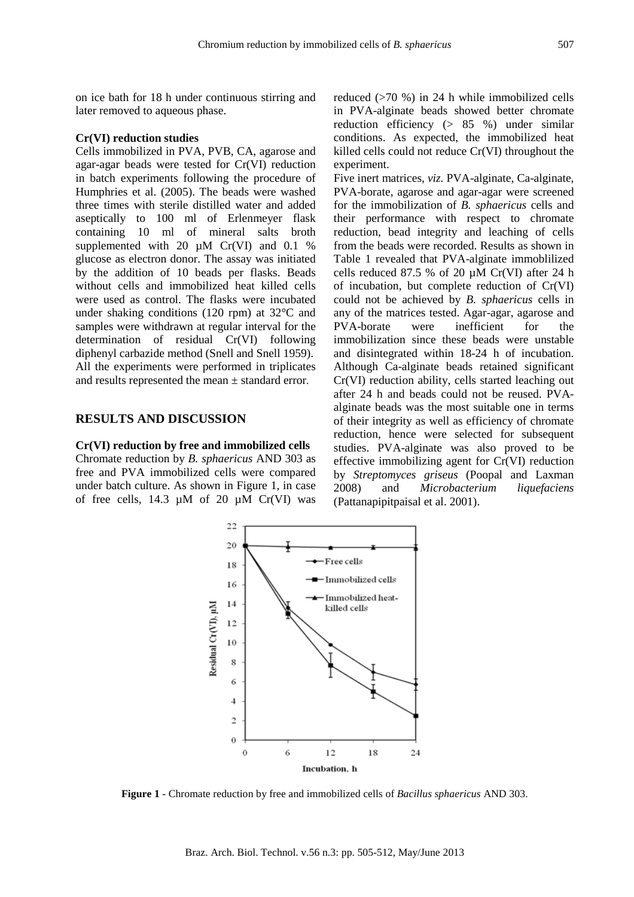on ice bath for 18 h under continuous stirring and later removed to aqueous phase.

## **Cr(VI) reduction studies**

Cells immobilized in PVA, PVB, CA, agarose and agar-agar beads were tested for Cr(VI) reduction in batch experiments following the procedure of Humphries et al. (2005). The beads were washed three times with sterile distilled water and added aseptically to 100 ml of Erlenmeyer flask containing 10 ml of mineral salts broth supplemented with 20  $\mu$ M Cr(VI) and 0.1 % glucose as electron donor. The assay was initiated by the addition of 10 beads per flasks. Beads without cells and immobilized heat killed cells were used as control. The flasks were incubated under shaking conditions (120 rpm) at 32°C and samples were withdrawn at regular interval for the determination of residual Cr(VI) following diphenyl carbazide method (Snell and Snell 1959). All the experiments were performed in triplicates and results represented the mean ± standard error.

## **RESULTS AND DISCUSSION**

**Cr(VI) reduction by free and immobilized cells**  Chromate reduction by *B. sphaericus* AND 303 as free and PVA immobilized cells were compared under batch culture. As shown in Figure 1, in case of free cells, 14.3  $\mu$ M of 20  $\mu$ M Cr(VI) was reduced (>70 %) in 24 h while immobilized cells in PVA-alginate beads showed better chromate reduction efficiency (> 85 %) under similar conditions. As expected, the immobilized heat killed cells could not reduce Cr(VI) throughout the experiment.

Five inert matrices, *viz.* PVA-alginate, Ca-alginate, PVA-borate, agarose and agar-agar were screened for the immobilization of *B. sphaericus* cells and their performance with respect to chromate reduction, bead integrity and leaching of cells from the beads were recorded. Results as shown in Table 1 revealed that PVA-alginate immoblilized cells reduced 87.5 % of 20 µM Cr(VI) after 24 h of incubation, but complete reduction of Cr(VI) could not be achieved by *B. sphaericus* cells in any of the matrices tested. Agar-agar, agarose and PVA-borate were inefficient for the immobilization since these beads were unstable and disintegrated within 18-24 h of incubation. Although Ca-alginate beads retained significant Cr(VI) reduction ability, cells started leaching out after 24 h and beads could not be reused. PVAalginate beads was the most suitable one in terms of their integrity as well as efficiency of chromate reduction, hence were selected for subsequent studies. PVA-alginate was also proved to be effective immobilizing agent for Cr(VI) reduction by *Streptomyces griseus* (Poopal and Laxman 2008) and *Microbacterium liquefaciens* (Pattanapipitpaisal et al. 2001).



**Figure 1** - Chromate reduction by free and immobilized cells of *Bacillus sphaericus* AND 303.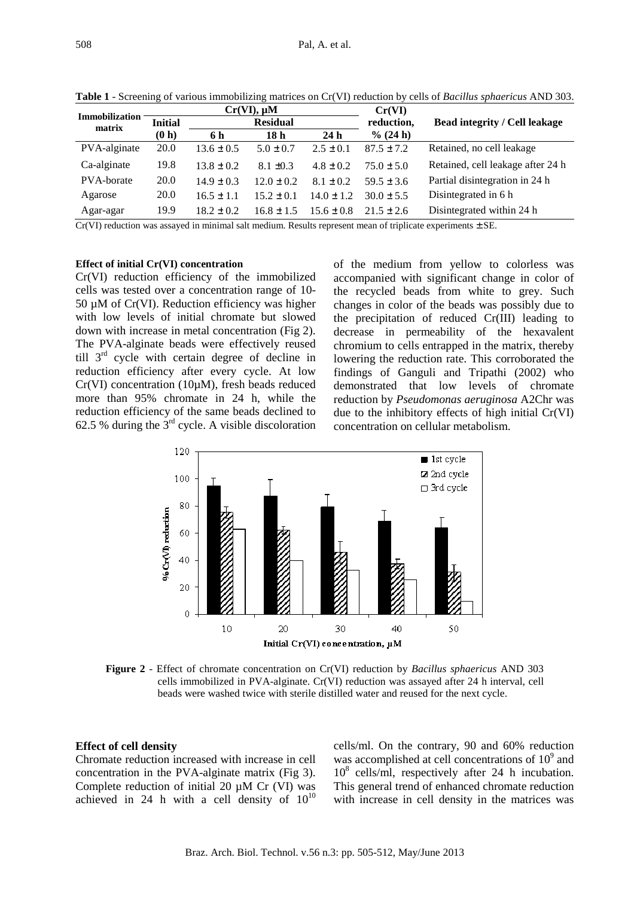| Immobilization |                |                | $Cr(VI)$ , $\mu M$ |                | Cr(VI)         |                                      |  |
|----------------|----------------|----------------|--------------------|----------------|----------------|--------------------------------------|--|
| matrix         | <b>Initial</b> |                | <b>Residual</b>    |                | reduction,     | <b>Bead integrity / Cell leakage</b> |  |
|                | (0 h)          | 6 h            | 18 h               | 24h            | % (24 h)       |                                      |  |
| PVA-alginate   | 20.0           | $13.6 \pm 0.5$ | $5.0 \pm 0.7$      | $2.5 \pm 0.1$  | $87.5 \pm 7.2$ | Retained, no cell leakage            |  |
| Ca-alginate    | 19.8           | $13.8 + 0.2$   | $8.1 \pm 0.3$      | $4.8 \pm 0.2$  | $75.0 \pm 5.0$ | Retained, cell leakage after 24 h    |  |
| PVA-borate     | 20.0           | $14.9 \pm 0.3$ | $12.0 \pm 0.2$     | $8.1 \pm 0.2$  | $59.5 \pm 3.6$ | Partial disintegration in 24 h       |  |
| Agarose        | <b>20.0</b>    | $16.5 \pm 1.1$ | $15.2 \pm 0.1$     | $14.0 \pm 1.2$ | $30.0 \pm 5.5$ | Disintegrated in 6 h                 |  |
| Agar-agar      | 19.9           | $18.2 \pm 0.2$ | $16.8 \pm 1.5$     | $15.6 \pm 0.8$ | $21.5 \pm 2.6$ | Disintegrated within 24 h            |  |

**Table 1** - Screening of various immobilizing matrices on Cr(VI) reduction by cells of *Bacillus sphaericus* AND 303.

 $Cr(VI)$  reduction was assayed in minimal salt medium. Results represent mean of triplicate experiments  $\pm$  SE.

#### **Effect of initial Cr(VI) concentration**

Cr(VI) reduction efficiency of the immobilized cells was tested over a concentration range of 10-  $50 \mu M$  of Cr(VI). Reduction efficiency was higher with low levels of initial chromate but slowed down with increase in metal concentration (Fig 2). The PVA-alginate beads were effectively reused till 3rd cycle with certain degree of decline in reduction efficiency after every cycle. At low Cr(VI) concentration (10µM), fresh beads reduced more than 95% chromate in 24 h, while the reduction efficiency of the same beads declined to 62.5 % during the  $3<sup>rd</sup>$  cycle. A visible discoloration of the medium from yellow to colorless was accompanied with significant change in color of the recycled beads from white to grey. Such changes in color of the beads was possibly due to the precipitation of reduced Cr(III) leading to decrease in permeability of the hexavalent chromium to cells entrapped in the matrix, thereby lowering the reduction rate. This corroborated the findings of Ganguli and Tripathi (2002) who demonstrated that low levels of chromate reduction by *Pseudomonas aeruginosa* A2Chr was due to the inhibitory effects of high initial Cr(VI) concentration on cellular metabolism.



**Figure 2** - Effect of chromate concentration on Cr(VI) reduction by *Bacillus sphaericus* AND 303 cells immobilized in PVA-alginate. Cr(VI) reduction was assayed after 24 h interval, cell beads were washed twice with sterile distilled water and reused for the next cycle.

#### **Effect of cell density**

Chromate reduction increased with increase in cell concentration in the PVA-alginate matrix (Fig 3). Complete reduction of initial 20 µM Cr (VI) was achieved in 24 h with a cell density of  $10^{10}$ 

cells/ml. On the contrary, 90 and 60% reduction was accomplished at cell concentrations of  $10<sup>9</sup>$  and 10<sup>8</sup> cells/ml, respectively after 24 h incubation. This general trend of enhanced chromate reduction with increase in cell density in the matrices was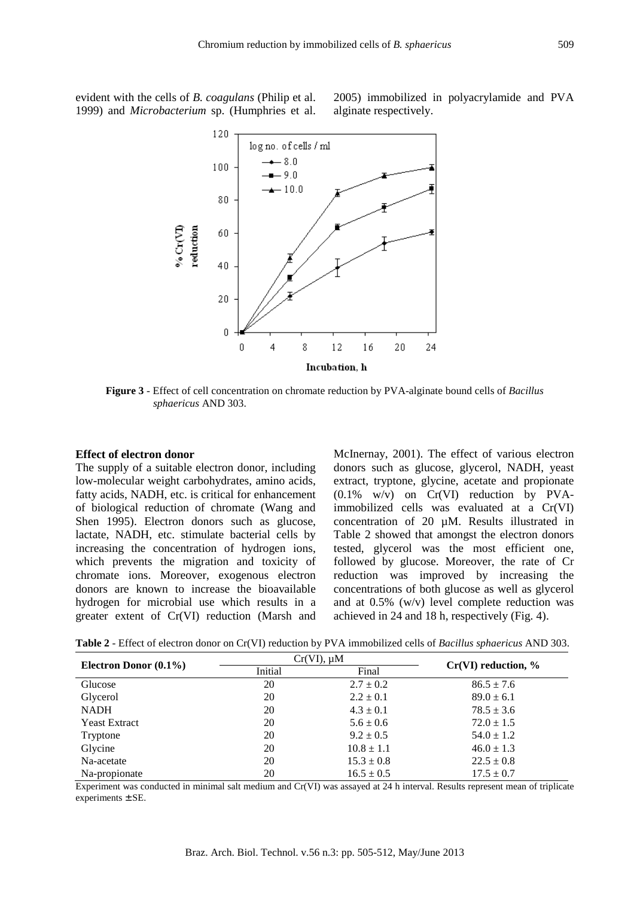evident with the cells of *B. coagulans* (Philip et al. 1999) and *Microbacterium* sp. (Humphries et al. 2005) immobilized in polyacrylamide and PVA alginate respectively.



**Figure 3** - Effect of cell concentration on chromate reduction by PVA-alginate bound cells of *Bacillus sphaericus* AND 303.

#### **Effect of electron donor**

The supply of a suitable electron donor, including low-molecular weight carbohydrates, amino acids, fatty acids, NADH, etc. is critical for enhancement of biological reduction of chromate (Wang and Shen 1995). Electron donors such as glucose, lactate, NADH, etc. stimulate bacterial cells by increasing the concentration of hydrogen ions, which prevents the migration and toxicity of chromate ions. Moreover, exogenous electron donors are known to increase the bioavailable hydrogen for microbial use which results in a greater extent of Cr(VI) reduction (Marsh and McInernay, 2001). The effect of various electron donors such as glucose, glycerol, NADH, yeast extract, tryptone, glycine, acetate and propionate (0.1% w/v) on Cr(VI) reduction by PVAimmobilized cells was evaluated at a Cr(VI) concentration of 20 µM. Results illustrated in Table 2 showed that amongst the electron donors tested, glycerol was the most efficient one, followed by glucose. Moreover, the rate of Cr reduction was improved by increasing the concentrations of both glucose as well as glycerol and at 0.5% (w/v) level complete reduction was achieved in 24 and 18 h, respectively (Fig. 4).

**Table 2** - Effect of electron donor on Cr(VI) reduction by PVA immobilized cells of *Bacillus sphaericus* AND 303.

|                          |         | $Cr(VI)$ , $\mu M$ | $Cr(VI)$ reduction, % |  |
|--------------------------|---------|--------------------|-----------------------|--|
| Electron Donor $(0.1\%)$ | Initial | Final              |                       |  |
| Glucose                  | 20      | $2.7 \pm 0.2$      | $86.5 \pm 7.6$        |  |
| Glycerol                 | 20      | $2.2 \pm 0.1$      | $89.0 \pm 6.1$        |  |
| <b>NADH</b>              | 20      | $4.3 \pm 0.1$      | $78.5 \pm 3.6$        |  |
| <b>Yeast Extract</b>     | 20      | $5.6 \pm 0.6$      | $72.0 \pm 1.5$        |  |
| Tryptone                 | 20      | $9.2 \pm 0.5$      | $54.0 \pm 1.2$        |  |
| Glycine                  | 20      | $10.8 \pm 1.1$     | $46.0 \pm 1.3$        |  |
| Na-acetate               | 20      | $15.3 \pm 0.8$     | $22.5 \pm 0.8$        |  |
| Na-propionate            | 20      | $16.5 \pm 0.5$     | $17.5 \pm 0.7$        |  |

Experiment was conducted in minimal salt medium and Cr(VI) was assayed at 24 h interval. Results represent mean of triplicate experiments ± SE.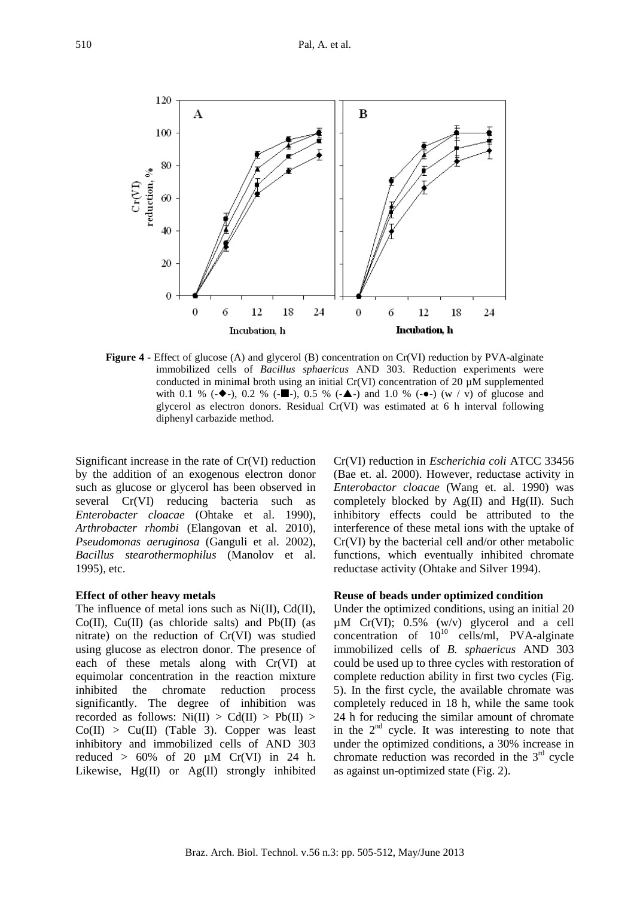

**Figure 4 -** Effect of glucose (A) and glycerol (B) concentration on Cr(VI) reduction by PVA-alginate immobilized cells of *Bacillus sphaericus* AND 303. Reduction experiments were conducted in minimal broth using an initial  $Cr(VI)$  concentration of 20  $\mu$ M supplemented with 0.1 % ( $\bullet$ -), 0.2 % ( $\bullet$ ), 0.5 % ( $\bullet$ ) and 1.0 % ( $\bullet$ -) (w v) of glucose and glycerol as electron donors. Residual Cr(VI) was estimated at 6 h interval following diphenyl carbazide method.

Significant increase in the rate of Cr(VI) reduction by the addition of an exogenous electron donor such as glucose or glycerol has been observed in several Cr(VI) reducing bacteria such as *Enterobacter cloacae* (Ohtake et al. 1990), *Arthrobacter rhombi* (Elangovan et al. 2010)*, Pseudomonas aeruginosa* (Ganguli et al. 2002), *Bacillus stearothermophilus* (Manolov et al. 1995), etc.

#### **Effect of other heavy metals**

The influence of metal ions such as Ni(II), Cd(II), Co(II), Cu(II) (as chloride salts) and Pb(II) (as nitrate) on the reduction of Cr(VI) was studied using glucose as electron donor. The presence of each of these metals along with Cr(VI) at equimolar concentration in the reaction mixture inhibited the chromate reduction process significantly. The degree of inhibition was recorded as follows:  $Ni(II) > Cd(II) > Pb(II) >$  $Co(II) > Cu(II)$  (Table 3). Copper was least inhibitory and immobilized cells of AND 303 reduced  $> 60\%$  of 20  $\mu$ M Cr(VI) in 24 h. Likewise, Hg(II) or Ag(II) strongly inhibited Cr(VI) reduction in *Escherichia coli* ATCC 33456 (Bae et. al. 2000). However, reductase activity in *Enterobactor cloacae* (Wang et. al. 1990) was completely blocked by  $Ag(II)$  and  $Hg(II)$ . Such inhibitory effects could be attributed to the interference of these metal ions with the uptake of Cr(VI) by the bacterial cell and/or other metabolic functions, which eventually inhibited chromate reductase activity (Ohtake and Silver 1994).

#### **Reuse of beads under optimized condition**

Under the optimized conditions, using an initial 20  $\mu$ M Cr(VI); 0.5% (w/v) glycerol and a cell concentration of  $10^{10}$  cells/ml, PVA-alginate immobilized cells of *B. sphaericus* AND 303 could be used up to three cycles with restoration of complete reduction ability in first two cycles (Fig. 5). In the first cycle, the available chromate was completely reduced in 18 h, while the same took 24 h for reducing the similar amount of chromate in the  $2<sup>nd</sup>$  cycle. It was interesting to note that under the optimized conditions, a 30% increase in chromate reduction was recorded in the  $3<sup>rd</sup>$  cycle as against un-optimized state (Fig. 2).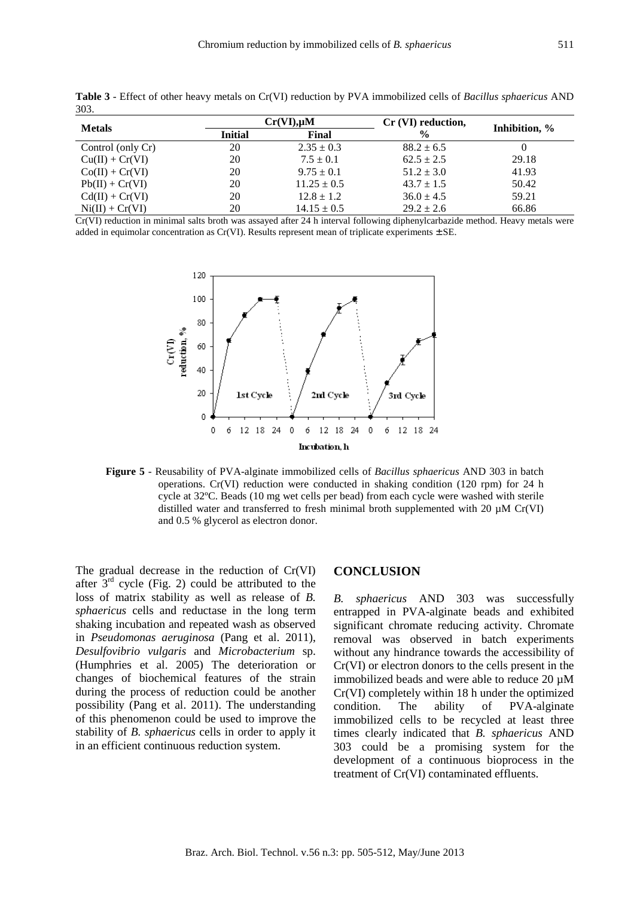| <b>Metals</b>     |                         | $Cr(VI), \mu M$ | Cr (VI) reduction, |               |  |
|-------------------|-------------------------|-----------------|--------------------|---------------|--|
|                   | <b>Initial</b><br>Final |                 | $\frac{6}{9}$      | Inhibition, % |  |
| Control (only Cr) | 20                      | $2.35 \pm 0.3$  | $88.2 \pm 6.5$     |               |  |
| $Cu(II) + Cr(VI)$ | 20                      | $7.5 \pm 0.1$   | $62.5 \pm 2.5$     | 29.18         |  |
| $Co(II) + Cr(VI)$ | 20                      | $9.75 \pm 0.1$  | $51.2 \pm 3.0$     | 41.93         |  |
| $Pb(II) + Cr(VI)$ | 20                      | $11.25 \pm 0.5$ | $43.7 \pm 1.5$     | 50.42         |  |
| $Cd(II) + Cr(VI)$ | 20                      | $12.8 \pm 1.2$  | $36.0 \pm 4.5$     | 59.21         |  |
| $Ni(II) + Cr(VI)$ | 20                      | $14.15 \pm 0.5$ | $29.2 \pm 2.6$     | 66.86         |  |

**Table 3** - Effect of other heavy metals on Cr(VI) reduction by PVA immobilized cells of *Bacillus sphaericus* AND 303.

Cr(VI) reduction in minimal salts broth was assayed after 24 h interval following diphenylcarbazide method. Heavy metals were added in equimolar concentration as Cr(VI). Results represent mean of triplicate experiments ± SE.



**Figure 5** - Reusability of PVA-alginate immobilized cells of *Bacillus sphaericus* AND 303 in batch operations. Cr(VI) reduction were conducted in shaking condition (120 rpm) for 24 h cycle at 32ºC. Beads (10 mg wet cells per bead) from each cycle were washed with sterile distilled water and transferred to fresh minimal broth supplemented with 20  $\mu$ M Cr(VI) and 0.5 % glycerol as electron donor.

The gradual decrease in the reduction of Cr(VI) after  $3<sup>rd</sup>$  cycle (Fig. 2) could be attributed to the loss of matrix stability as well as release of *B. sphaericus* cells and reductase in the long term shaking incubation and repeated wash as observed in *Pseudomonas aeruginosa* (Pang et al. 2011), *Desulfovibrio vulgaris* and *Microbacterium* sp. (Humphries et al. 2005) The deterioration or changes of biochemical features of the strain during the process of reduction could be another possibility (Pang et al. 2011). The understanding of this phenomenon could be used to improve the stability of *B. sphaericus* cells in order to apply it in an efficient continuous reduction system.

#### **CONCLUSION**

*B. sphaericus* AND 303 was successfully entrapped in PVA-alginate beads and exhibited significant chromate reducing activity. Chromate removal was observed in batch experiments without any hindrance towards the accessibility of Cr(VI) or electron donors to the cells present in the immobilized beads and were able to reduce 20 µM Cr(VI) completely within 18 h under the optimized condition. The ability of PVA-alginate immobilized cells to be recycled at least three times clearly indicated that *B. sphaericus* AND 303 could be a promising system for the development of a continuous bioprocess in the treatment of Cr(VI) contaminated effluents.